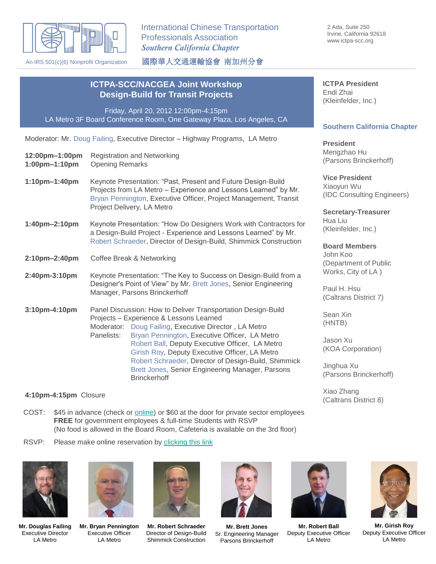

An IRS 501(c)(6) Nonprofit Organization

International Chinese Transportation Professionals Association *Southern California Chapter*

國際華人交通運輸協會 南加州分會

**ICTPA President** Endi Zhai (Kleinfelder, Inc.)

#### **Southern California Chapter**

**President** gzhao Hu sons Brinckerhoff)

**President** vun Wu Consulting Engineers)

*<u>Etary-Treasurer</u>* Liu nfelder, Inc.)

**Board Members** Koo artment of Public  $(s, \text{City of LA})$ 

H. Hsu rans District 7)

า Xin TB)

n Xu A Corporation)

hua Xu sons Brinckerhoff)

Xiao Zhang (Caltrans District 8)

# **Design-Build for Transit Projects** Friday, April 20, 2012 12:00pm-4:15pm

LA Metro 3F Board Conference Room, One Gateway Plaza, Los Angeles, CA

**ICTPA-SCC/NACGEA Joint Workshop** 

Moderator: Mr. Doug Failing, Executive Director – Highway Programs, LA Metro

| 12:00pm-1:00pm<br>1:00pm-1:10pm | <b>Registration and Networking</b><br><b>Opening Remarks</b>                                                                                                                                                                                       |                                                                                                                                                                    | .<br>Meng<br>(Pars                       |
|---------------------------------|----------------------------------------------------------------------------------------------------------------------------------------------------------------------------------------------------------------------------------------------------|--------------------------------------------------------------------------------------------------------------------------------------------------------------------|------------------------------------------|
| 1:10pm-1:40pm                   | Keynote Presentation: "Past, Present and Future Design-Build<br>Projects from LA Metro - Experience and Lessons Learned" by Mr.<br>Bryan Pennington, Executive Officer, Project Management, Transit                                                |                                                                                                                                                                    | <b>Vice</b><br>Xiao <sup>®</sup><br>(IDC |
| 1:40pm-2:10pm                   |                                                                                                                                                                                                                                                    | Project Delivery, LA Metro<br>Keynote Presentation: "How Do Designers Work with Contractors for<br>a Design-Build Project - Experience and Lessons Learned" by Mr. |                                          |
| 2:10pm-2:40pm                   | Robert Schraeder, Director of Design-Build, Shimmick Construction<br>Coffee Break & Networking                                                                                                                                                     |                                                                                                                                                                    | <b>Boar</b><br>John<br>(Dep              |
| 2:40pm-3:10pm                   | Keynote Presentation: "The Key to Success on Design-Build from a<br>Designer's Point of View" by Mr. Brett Jones, Senior Engineering<br>Manager, Parsons Brinckerhoff                                                                              |                                                                                                                                                                    | Work<br>Paul<br>(Calt                    |
| 3:10pm-4:10pm                   | Panel Discussion: How to Deliver Transportation Design-Build<br>Projects - Experience & Lessons Learned<br>Moderator: Doug Failing, Executive Director, LA Metro                                                                                   |                                                                                                                                                                    | Sear<br>(HN <sub>1</sub>                 |
|                                 | Panelists:<br>Robert Ball, Deputy Executive Officer, LA Metro<br>Girish Roy, Deputy Executive Officer, LA Metro<br>Robert Schraeder, Director of Design-Build, Shimmick<br>Brett Jones, Senior Engineering Manager, Parsons<br><b>Brinckerhoff</b> | Bryan Pennington, Executive Officer, LA Metro                                                                                                                      | Jaso<br>(KO/                             |
|                                 |                                                                                                                                                                                                                                                    |                                                                                                                                                                    | Jingh<br>(Pars                           |

# **4:10pm-4:15pm** Closure

- COST: \$45 in advance (check or **online)** or \$60 at the door for private sector employees **FREE** for government employees & full-time Students with RSVP (No food is allowed in the Board Room, Cafeteria is available on the 3rd floor)
- RSVP: Please make online reservation by [clicking this link](https://docs.google.com/spreadsheet/viewform?formkey=dGxzTlhlRWtrYS1qdXJGMUExaTA3bVE6MQ)



**Mr. Douglas Failing** Executive Director LA Metro



**Mr. Bryan Pennington** Executive Officer LA Metro



**Mr. Robert Schraeder** Director of Design-Build Shimmick Construction



**Mr. Brett Jones** Sr. Engineering Manager Parsons Brinckerhoff



**Mr. Robert Ball** Deputy Executive Officer LA Metro



**Mr. Girish Roy** Deputy Executive Officer LA Metro